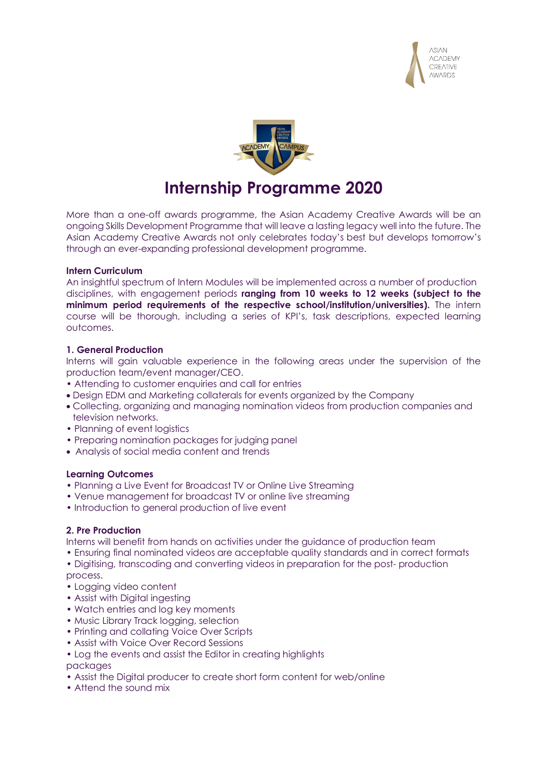



More than a one-off awards programme, the Asian Academy Creative Awards will be an ongoing Skills Development Programme that will leave a lasting legacy well into the future. The Asian Academy Creative Awards not only celebrates today's best but develops tomorrow's

## **Intern Curriculum**

An insightful spectrum of Intern Modules will be implemented across a number of production disciplines, with engagement periods **ranging from 10 weeks to 12 weeks (subject to the minimum period requirements of the respective school/institution/universities).** The intern course will be thorough, including a series of KPI's, task descriptions, expected learning outcomes.

#### **1. General Production**

Interns will gain valuable experience in the following areas under the supervision of the production team/event manager/CEO.

- Attending to customer enquiries and call for entries
- Design EDM and Marketing collaterals for events organized by the Company

through an ever-expanding professional development programme.

- Collecting, organizing and managing nomination videos from production companies and television networks.
- Planning of event logistics
- Preparing nomination packages for judging panel
- Analysis of social media content and trends

## **Learning Outcomes**

- Planning a Live Event for Broadcast TV or Online Live Streaming
- Venue management for broadcast TV or online live streaming
- Introduction to general production of live event

## **2. Pre Production**

Interns will benefit from hands on activities under the guidance of production team

- Ensuring final nominated videos are acceptable quality standards and in correct formats
- Digitising, transcoding and converting videos in preparation for the post- production process.
- Logging video content
- Assist with Digital ingesting
- Watch entries and log key moments
- Music Library Track logging, selection
- Printing and collating Voice Over Scripts
- Assist with Voice Over Record Sessions
- Log the events and assist the Editor in creating highlights

packages

- Assist the Digital producer to create short form content for web/online
- Attend the sound mix